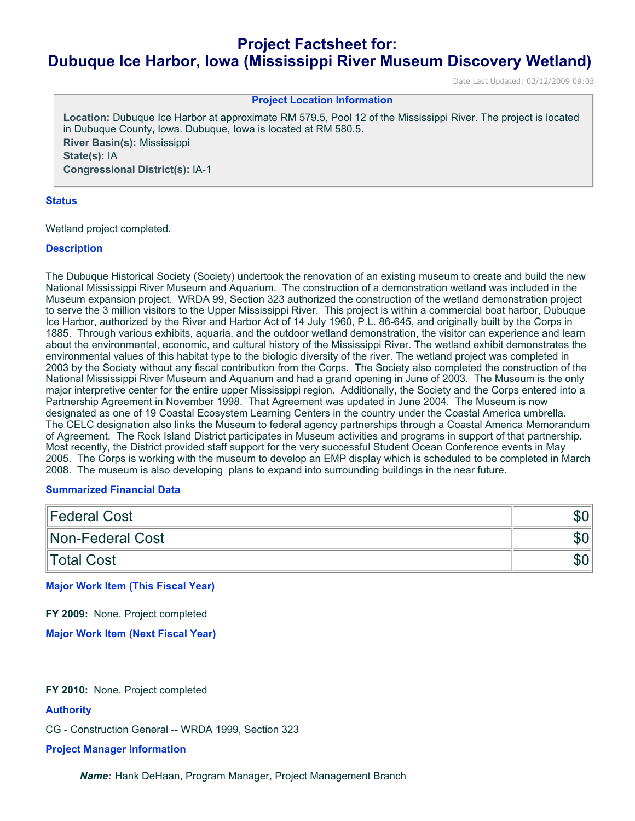# **Project Factsheet for: Dubuque Ice Harbor, Iowa (Mississippi River Museum Discovery Wetland)**

Date Last Updated: 02/12/2009 09:03

# **Project Location Information**

**Location:** Dubuque Ice Harbor at approximate RM 579.5, Pool 12 of the Mississippi River. The project is located in Dubuque County, Iowa. Dubuque, Iowa is located at RM 580.5. **River Basin(s):** Mississippi **State(s):** IA **Congressional District(s):** IA-1

#### **Status**

Wetland project completed.

# **Description**

The Dubuque Historical Society (Society) undertook the renovation of an existing museum to create and build the new National Mississippi River Museum and Aquarium. The construction of a demonstration wetland was included in the Museum expansion project. WRDA 99, Section 323 authorized the construction of the wetland demonstration project to serve the 3 million visitors to the Upper Mississippi River. This project is within a commercial boat harbor, Dubuque Ice Harbor, authorized by the River and Harbor Act of 14 July 1960, P.L. 86-645, and originally built by the Corps in 1885. Through various exhibits, aquaria, and the outdoor wetland demonstration, the visitor can experience and learn about the environmental, economic, and cultural history of the Mississippi River. The wetland exhibit demonstrates the environmental values of this habitat type to the biologic diversity of the river. The wetland project was completed in 2003 by the Society without any fiscal contribution from the Corps. The Society also completed the construction of the National Mississippi River Museum and Aquarium and had a grand opening in June of 2003. The Museum is the only major interpretive center for the entire upper Mississippi region. Additionally, the Society and the Corps entered into a Partnership Agreement in November 1998. That Agreement was updated in June 2004. The Museum is now designated as one of 19 Coastal Ecosystem Learning Centers in the country under the Coastal America umbrella. The CELC designation also links the Museum to federal agency partnerships through a Coastal America Memorandum of Agreement. The Rock Island District participates in Museum activities and programs in support of that partnership. Most recently, the District provided staff support for the very successful Student Ocean Conference events in May 2005. The Corps is working with the museum to develop an EMP display which is scheduled to be completed in March 2008. The museum is also developing plans to expand into surrounding buildings in the near future.

## **Summarized Financial Data**

| Federal Cost     | ง∪⊪ |
|------------------|-----|
| Non-Federal Cost | ാ∪⊬ |
| Total Cost       | ാ∪⊬ |

**Major Work Item (This Fiscal Year)**

**FY 2009:** None. Project completed

**Major Work Item (Next Fiscal Year)**

# **FY 2010:** None. Project completed

# **Authority**

CG - Construction General -- WRDA 1999, Section 323

#### **Project Manager Information**

*Name:* Hank DeHaan, Program Manager, Project Management Branch